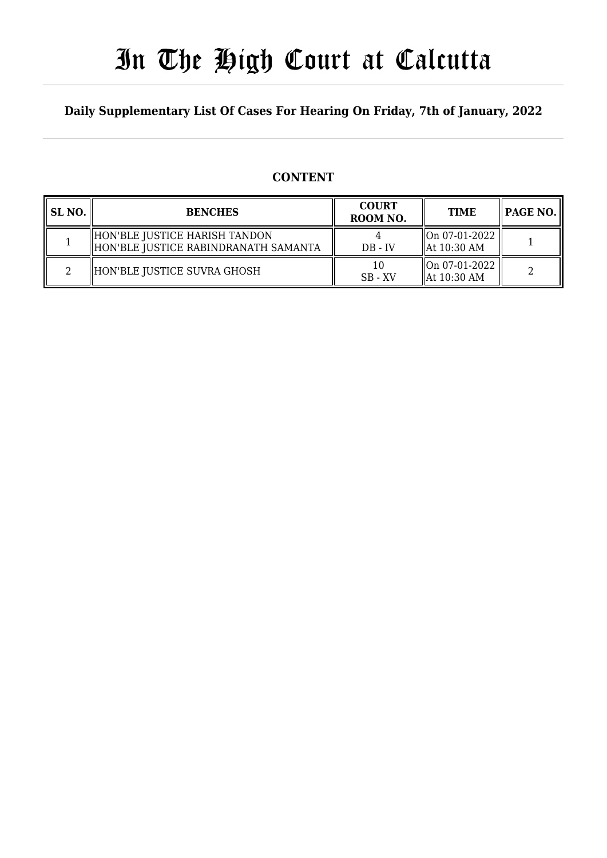# In The High Court at Calcutta

### **Daily Supplementary List Of Cases For Hearing On Friday, 7th of January, 2022**

### **CONTENT**

| SL <sub>NO</sub> . | <b>BENCHES</b>                                                          | <b>COURT</b><br>ROOM NO. | <b>TIME</b>                                          |  |
|--------------------|-------------------------------------------------------------------------|--------------------------|------------------------------------------------------|--|
|                    | HON'BLE JUSTICE HARISH TANDON<br>  HON'BLE JUSTICE RABINDRANATH SAMANTA | $DB - IV$                | $\parallel$ On 07-01-2022<br>$\parallel$ At 10:30 AM |  |
|                    | HON'BLE JUSTICE SUVRA GHOSH                                             | 10<br>$SB - XV$          | $\parallel$ On 07-01-2022<br>$\parallel$ At 10:30 AM |  |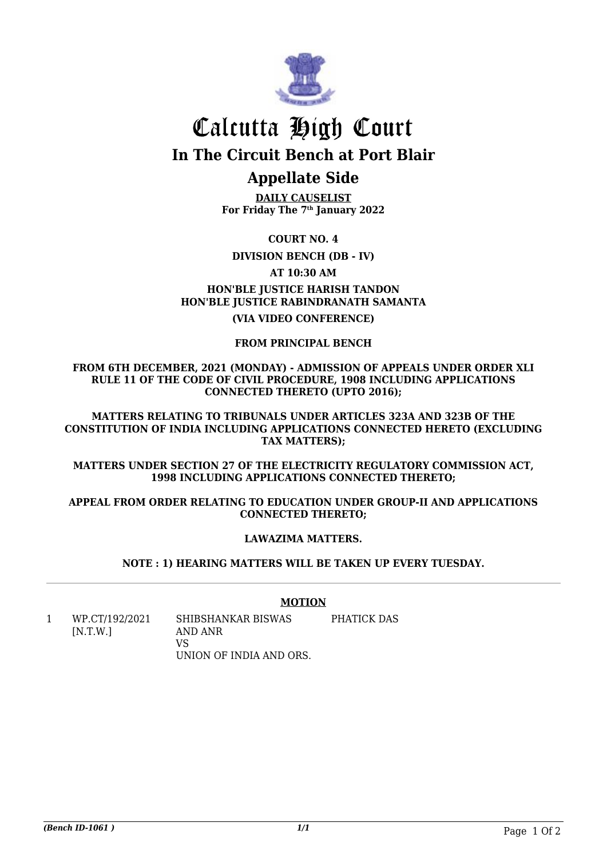

## Calcutta High Court **In The Circuit Bench at Port Blair**

## **Appellate Side**

**DAILY CAUSELIST For Friday The 7th January 2022**

**COURT NO. 4**

**DIVISION BENCH (DB - IV)**

**AT 10:30 AM**

### **HON'BLE JUSTICE HARISH TANDON HON'BLE JUSTICE RABINDRANATH SAMANTA**

**(VIA VIDEO CONFERENCE)**

#### **FROM PRINCIPAL BENCH**

**FROM 6TH DECEMBER, 2021 (MONDAY) - ADMISSION OF APPEALS UNDER ORDER XLI RULE 11 OF THE CODE OF CIVIL PROCEDURE, 1908 INCLUDING APPLICATIONS CONNECTED THERETO (UPTO 2016);**

**MATTERS RELATING TO TRIBUNALS UNDER ARTICLES 323A AND 323B OF THE CONSTITUTION OF INDIA INCLUDING APPLICATIONS CONNECTED HERETO (EXCLUDING TAX MATTERS);**

**MATTERS UNDER SECTION 27 OF THE ELECTRICITY REGULATORY COMMISSION ACT, 1998 INCLUDING APPLICATIONS CONNECTED THERETO;**

**APPEAL FROM ORDER RELATING TO EDUCATION UNDER GROUP-II AND APPLICATIONS CONNECTED THERETO;**

#### **LAWAZIMA MATTERS.**

**NOTE : 1) HEARING MATTERS WILL BE TAKEN UP EVERY TUESDAY.**

#### **MOTION**

1 WP.CT/192/2021  $[N.T.W.]$ SHIBSHANKAR BISWAS AND ANR VS UNION OF INDIA AND ORS. PHATICK DAS